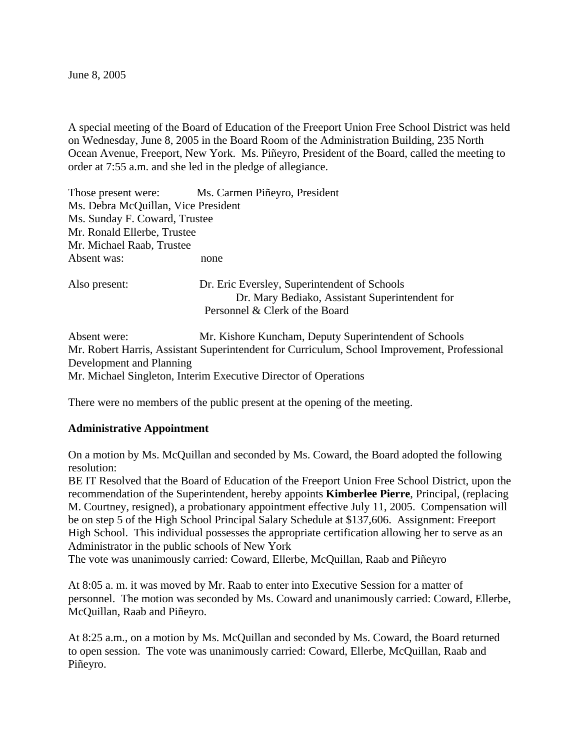June 8, 2005

A special meeting of the Board of Education of the Freeport Union Free School District was held on Wednesday, June 8, 2005 in the Board Room of the Administration Building, 235 North Ocean Avenue, Freeport, New York. Ms. Piñeyro, President of the Board, called the meeting to order at 7:55 a.m. and she led in the pledge of allegiance.

Those present were: Ms. Carmen Piñeyro, President Ms. Debra McQuillan, Vice President Ms. Sunday F. Coward, Trustee Mr. Ronald Ellerbe, Trustee Mr. Michael Raab, Trustee Absent was: none Also present: Dr. Eric Eversley, Superintendent of Schools Dr. Mary Bediako, Assistant Superintendent for Personnel & Clerk of the Board

Absent were: Mr. Kishore Kuncham, Deputy Superintendent of Schools Mr. Robert Harris, Assistant Superintendent for Curriculum, School Improvement, Professional Development and Planning Mr. Michael Singleton, Interim Executive Director of Operations

There were no members of the public present at the opening of the meeting.

## **Administrative Appointment**

On a motion by Ms. McQuillan and seconded by Ms. Coward, the Board adopted the following resolution:

BE IT Resolved that the Board of Education of the Freeport Union Free School District, upon the recommendation of the Superintendent, hereby appoints **Kimberlee Pierre**, Principal, (replacing M. Courtney, resigned), a probationary appointment effective July 11, 2005. Compensation will be on step 5 of the High School Principal Salary Schedule at \$137,606. Assignment: Freeport High School. This individual possesses the appropriate certification allowing her to serve as an Administrator in the public schools of New York

The vote was unanimously carried: Coward, Ellerbe, McQuillan, Raab and Piñeyro

At 8:05 a. m. it was moved by Mr. Raab to enter into Executive Session for a matter of personnel. The motion was seconded by Ms. Coward and unanimously carried: Coward, Ellerbe, McQuillan, Raab and Piñeyro.

At 8:25 a.m., on a motion by Ms. McQuillan and seconded by Ms. Coward, the Board returned to open session. The vote was unanimously carried: Coward, Ellerbe, McQuillan, Raab and Piñeyro.